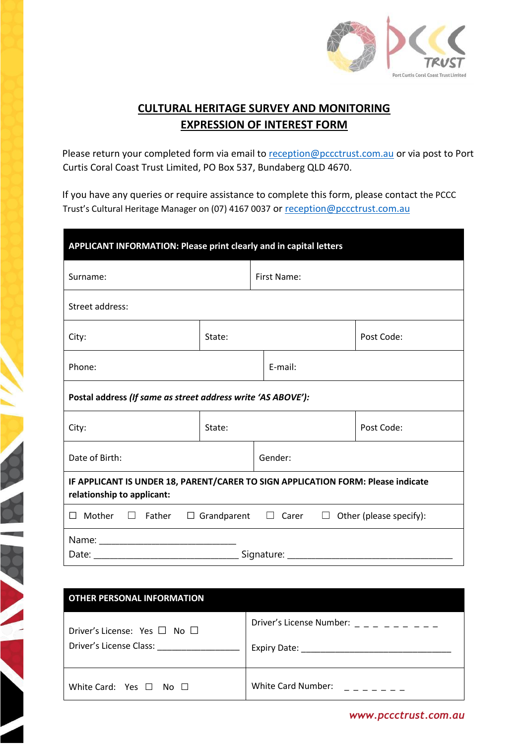

## **CULTURAL HERITAGE SURVEY AND MONITORING EXPRESSION OF INTEREST FORM**

Please return your completed form via email to reception@pccctrust.com.au or via post to Port Curtis Coral Coast Trust Limited, PO Box 537, Bundaberg QLD 4670.

If you have any queries or require assistance to complete this form, please contact the PCCC Trust's Cultural Heritage Manager on (07) 4167 0037 or reception@pccctrust.com.au

| APPLICANT INFORMATION: Please print clearly and in capital letters                                             |             |         |  |            |  |  |
|----------------------------------------------------------------------------------------------------------------|-------------|---------|--|------------|--|--|
| Surname:                                                                                                       | First Name: |         |  |            |  |  |
| Street address:                                                                                                |             |         |  |            |  |  |
| City:                                                                                                          | State:      |         |  | Post Code: |  |  |
| Phone:                                                                                                         |             | E-mail: |  |            |  |  |
| Postal address (If same as street address write 'AS ABOVE'):                                                   |             |         |  |            |  |  |
| City:                                                                                                          | State:      |         |  | Post Code: |  |  |
| Date of Birth:                                                                                                 | Gender:     |         |  |            |  |  |
| IF APPLICANT IS UNDER 18, PARENT/CARER TO SIGN APPLICATION FORM: Please indicate<br>relationship to applicant: |             |         |  |            |  |  |
| $\Box$ Mother $\Box$ Father $\Box$ Grandparent $\Box$ Carer $\Box$ Other (please specify):                     |             |         |  |            |  |  |
|                                                                                                                |             |         |  |            |  |  |

| <b>OTHER PERSONAL INFORMATION</b>                                 |                           |
|-------------------------------------------------------------------|---------------------------|
| Driver's License: Yes $\Box$ No $\Box$<br>Driver's License Class: |                           |
| White Card: Yes $\Box$ No $\Box$                                  | <b>White Card Number:</b> |

*www.pccctrust.com.au*